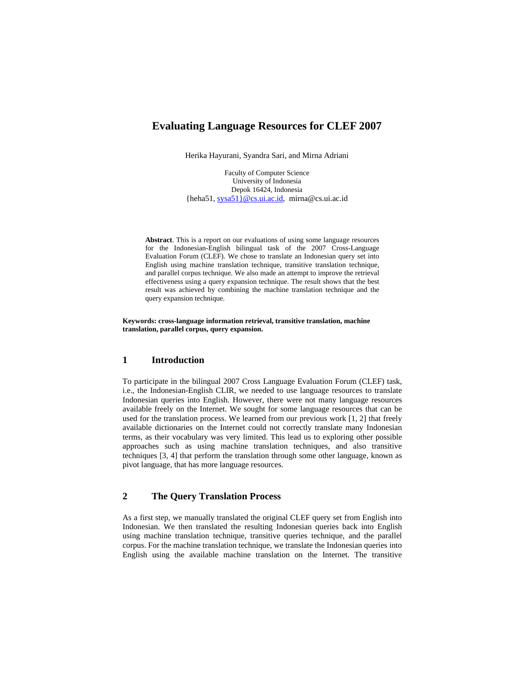# **Evaluating Language Resources for CLEF 2007**

Herika Hayurani, Syandra Sari, and Mirna Adriani

Faculty of Computer Science University of Indonesia Depok 16424, Indonesia {heha51, sysa51}@cs.ui.ac.id, mirna@cs.ui.ac.id

**Abstract**. This is a report on our evaluations of using some language resources for the Indonesian-English bilingual task of the 2007 Cross-Language Evaluation Forum (CLEF). We chose to translate an Indonesian query set into English using machine translation technique, transitive translation technique, and parallel corpus technique. We also made an attempt to improve the retrieval effectiveness using a query expansion technique. The result shows that the best result was achieved by combining the machine translation technique and the query expansion technique.

**Keywords: cross-language information retrieval, transitive translation, machine translation, parallel corpus, query expansion.** 

## **1 Introduction**

To participate in the bilingual 2007 Cross Language Evaluation Forum (CLEF) task, i.e., the Indonesian-English CLIR, we needed to use language resources to translate Indonesian queries into English. However, there were not many language resources available freely on the Internet. We sought for some language resources that can be used for the translation process. We learned from our previous work [1, 2] that freely available dictionaries on the Internet could not correctly translate many Indonesian terms, as their vocabulary was very limited. This lead us to exploring other possible approaches such as using machine translation techniques, and also transitive techniques [3, 4] that perform the translation through some other language, known as pivot language, that has more language resources.

## **2 The Query Translation Process**

As a first step, we manually translated the original CLEF query set from English into Indonesian. We then translated the resulting Indonesian queries back into English using machine translation technique, transitive queries technique, and the parallel corpus. For the machine translation technique, we translate the Indonesian queries into English using the available machine translation on the Internet. The transitive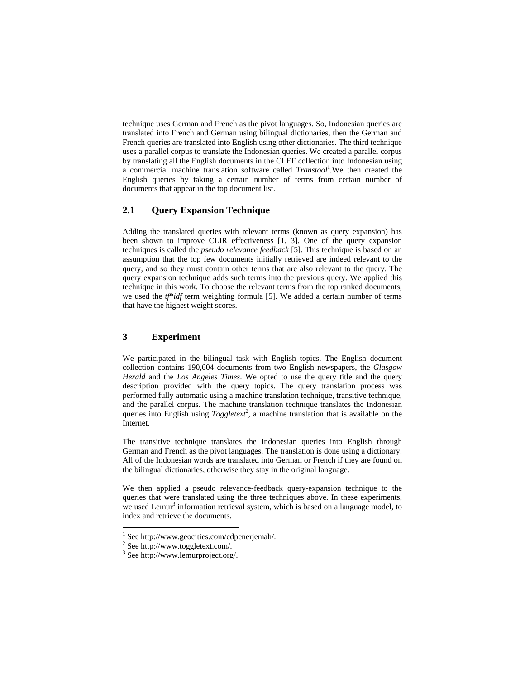technique uses German and French as the pivot languages. So, Indonesian queries are translated into French and German using bilingual dictionaries, then the German and French queries are translated into English using other dictionaries. The third technique uses a parallel corpus to translate the Indonesian queries. We created a parallel corpus by translating all the English documents in the CLEF collection into Indonesian using a commercial machine translation software called *Transtool*<sup>1</sup> *.*We then created the English queries by taking a certain number of terms from certain number of documents that appear in the top document list.

## **2.1 Query Expansion Technique**

Adding the translated queries with relevant terms (known as query expansion) has been shown to improve CLIR effectiveness [1, 3]. One of the query expansion techniques is called the *pseudo relevance feedback* [5]. This technique is based on an assumption that the top few documents initially retrieved are indeed relevant to the query, and so they must contain other terms that are also relevant to the query. The query expansion technique adds such terms into the previous query. We applied this technique in this work. To choose the relevant terms from the top ranked documents, we used the *tf*\**idf* term weighting formula [5]. We added a certain number of terms that have the highest weight scores.

### **3 Experiment**

We participated in the bilingual task with English topics. The English document collection contains 190,604 documents from two English newspapers, the *Glasgow Herald* and the *Los Angeles Times*. We opted to use the query title and the query description provided with the query topics. The query translation process was performed fully automatic using a machine translation technique, transitive technique, and the parallel corpus. The machine translation technique translates the Indonesian queries into English using  $Toggletext^2$ , a machine translation that is available on the Internet.

The transitive technique translates the Indonesian queries into English through German and French as the pivot languages. The translation is done using a dictionary. All of the Indonesian words are translated into German or French if they are found on the bilingual dictionaries, otherwise they stay in the original language.

We then applied a pseudo relevance-feedback query-expansion technique to the queries that were translated using the three techniques above. In these experiments, we used Lemur<sup>3</sup> information retrieval system, which is based on a language model, to index and retrieve the documents.

l

<sup>1</sup> See http://www.geocities.com/cdpenerjemah/.

<sup>2</sup> See http://www.toggletext.com/.

<sup>3</sup> See http://www.lemurproject.org/.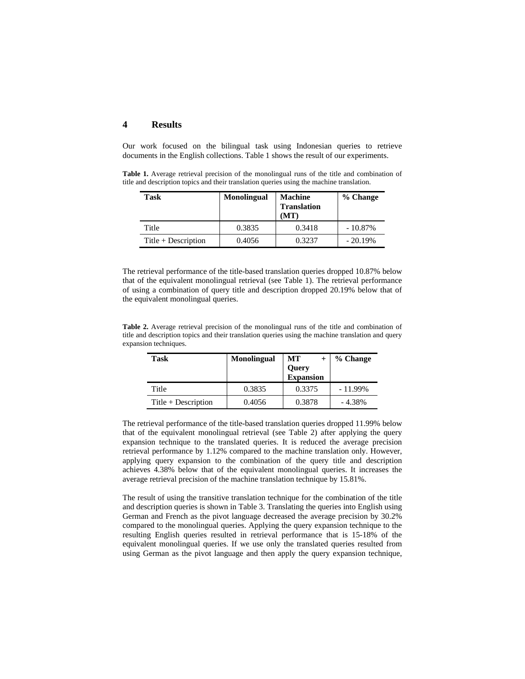#### **4 Results**

Our work focused on the bilingual task using Indonesian queries to retrieve documents in the English collections. Table 1 shows the result of our experiments.

**Table 1.** Average retrieval precision of the monolingual runs of the title and combination of title and description topics and their translation queries using the machine translation.

| <b>Task</b>           | <b>Monolingual</b> | <b>Machine</b><br><b>Translation</b><br>(MT) | % Change   |
|-----------------------|--------------------|----------------------------------------------|------------|
| Title                 | 0.3835             | 0.3418                                       | $-10.87\%$ |
| $Title + Description$ | 0.4056             | 0.3237                                       | $-20.19%$  |

The retrieval performance of the title-based translation queries dropped 10.87% below that of the equivalent monolingual retrieval (see Table 1). The retrieval performance of using a combination of query title and description dropped 20.19% below that of the equivalent monolingual queries.

**Table 2.** Average retrieval precision of the monolingual runs of the title and combination of title and description topics and their translation queries using the machine translation and query expansion techniques.

| Task                  | <b>Monolingual</b> | MT<br>Query<br>Expansion | % Change   |
|-----------------------|--------------------|--------------------------|------------|
| Title                 | 0.3835             | 0.3375                   | $-11.99\%$ |
| $Title + Description$ | 0.4056             | 0.3878                   | $-4.38\%$  |

The retrieval performance of the title-based translation queries dropped 11.99% below that of the equivalent monolingual retrieval (see Table 2) after applying the query expansion technique to the translated queries. It is reduced the average precision retrieval performance by 1.12% compared to the machine translation only. However, applying query expansion to the combination of the query title and description achieves 4.38% below that of the equivalent monolingual queries. It increases the average retrieval precision of the machine translation technique by 15.81%.

The result of using the transitive translation technique for the combination of the title and description queries is shown in Table 3. Translating the queries into English using German and French as the pivot language decreased the average precision by 30.2% compared to the monolingual queries. Applying the query expansion technique to the resulting English queries resulted in retrieval performance that is 15-18% of the equivalent monolingual queries. If we use only the translated queries resulted from using German as the pivot language and then apply the query expansion technique,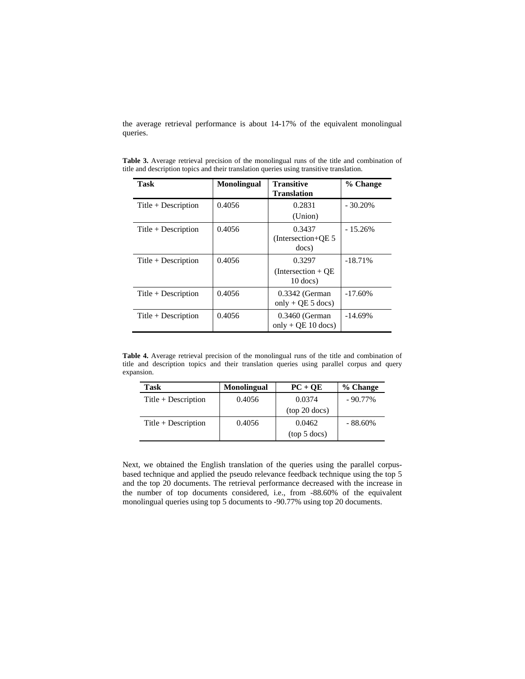the average retrieval performance is about 14-17% of the equivalent monolingual queries.

| Task                  | <b>Monolingual</b> | <b>Transitive</b><br><b>Translation</b>       | % Change   |
|-----------------------|--------------------|-----------------------------------------------|------------|
| Title $+$ Description | 0.4056             | 0.2831<br>(Union)                             | $-30.20\%$ |
| Title $+$ Description | 0.4056             | 0.3437<br>(Intersection+ $QE$ 5<br>docs)      | $-15.26%$  |
| Title $+$ Description | 0.4056             | 0.3297<br>$(Intersection + OE)$<br>$10$ docs) | $-18.71%$  |
| Title $+$ Description | 0.4056             | $0.3342$ (German)<br>only + QE 5 docs)        | $-17.60%$  |
| $Title + Description$ | 0.4056             | $0.3460$ (German<br>only + $OE$ 10 docs)      | $-14.69%$  |

**Table 3.** Average retrieval precision of the monolingual runs of the title and combination of title and description topics and their translation queries using transitive translation.

**Table 4.** Average retrieval precision of the monolingual runs of the title and combination of title and description topics and their translation queries using parallel corpus and query expansion.

| Task                  | <b>Monolingual</b> | $PC + QE$       | % Change   |
|-----------------------|--------------------|-----------------|------------|
| Title $+$ Description | 0.4056             | 0.0374          | $-90.77\%$ |
|                       |                    | $(top 20$ docs) |            |
| $Title + Description$ | 0.4056             | 0.0462          | $-88.60\%$ |
|                       |                    | (top 5 docs)    |            |

Next, we obtained the English translation of the queries using the parallel corpusbased technique and applied the pseudo relevance feedback technique using the top 5 and the top 20 documents. The retrieval performance decreased with the increase in the number of top documents considered, i.e., from -88.60% of the equivalent monolingual queries using top 5 documents to -90.77% using top 20 documents.